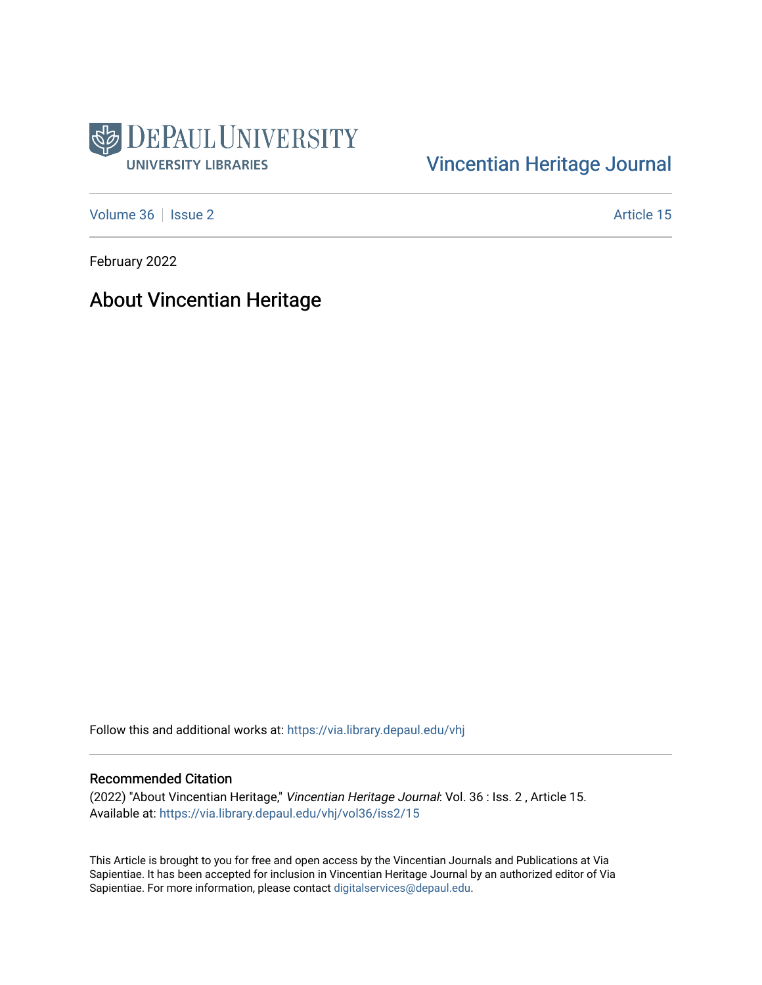

#### [Vincentian Heritage Journal](https://via.library.depaul.edu/vhj)

[Volume 36](https://via.library.depaul.edu/vhj/vol36) | [Issue 2](https://via.library.depaul.edu/vhj/vol36/iss2) Article 15

February 2022

About Vincentian Heritage

Follow this and additional works at: [https://via.library.depaul.edu/vhj](https://via.library.depaul.edu/vhj?utm_source=via.library.depaul.edu%2Fvhj%2Fvol36%2Fiss2%2F15&utm_medium=PDF&utm_campaign=PDFCoverPages) 

#### Recommended Citation

(2022) "About Vincentian Heritage," Vincentian Heritage Journal: Vol. 36 : Iss. 2 , Article 15. Available at: [https://via.library.depaul.edu/vhj/vol36/iss2/15](https://via.library.depaul.edu/vhj/vol36/iss2/15?utm_source=via.library.depaul.edu%2Fvhj%2Fvol36%2Fiss2%2F15&utm_medium=PDF&utm_campaign=PDFCoverPages)

This Article is brought to you for free and open access by the Vincentian Journals and Publications at Via Sapientiae. It has been accepted for inclusion in Vincentian Heritage Journal by an authorized editor of Via Sapientiae. For more information, please contact [digitalservices@depaul.edu](mailto:digitalservices@depaul.edu).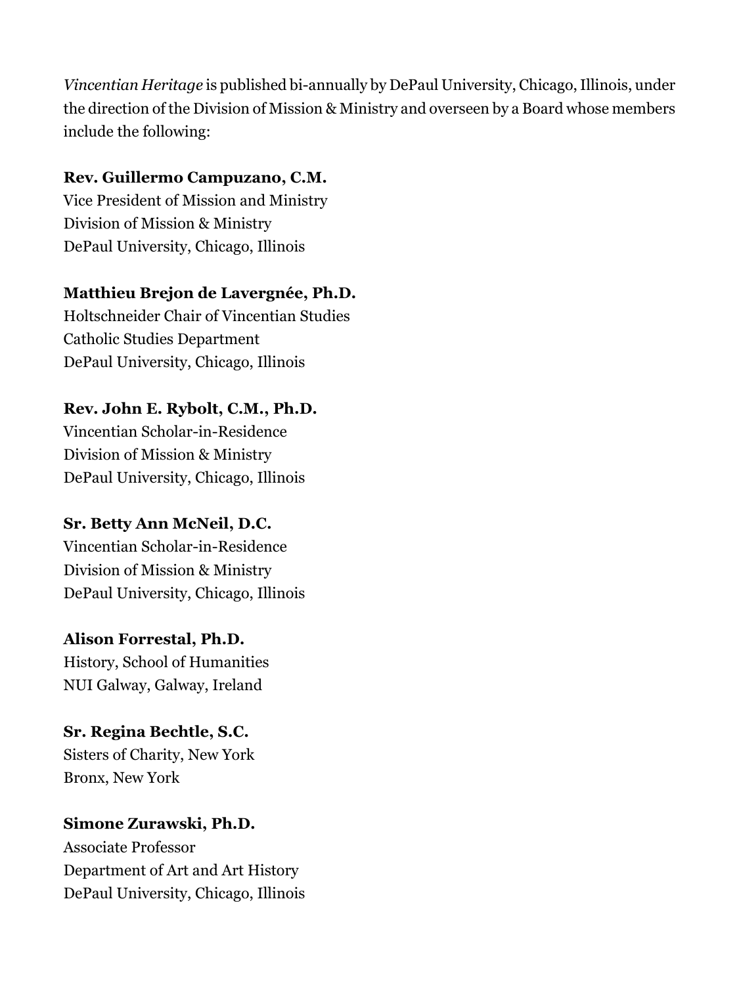*Vincentian Heritage* is published bi-annually by DePaul University, Chicago, Illinois, under the direction of the Division of Mission & Ministry and overseen by a Board whose members include the following:

#### **Rev. Guillermo Campuzano, C.M.**

Vice President of Mission and Ministry Division of Mission & Ministry DePaul University, Chicago, Illinois

#### **Matthieu Brejon de Lavergnée, Ph.D.**

Holtschneider Chair of Vincentian Studies Catholic Studies Department DePaul University, Chicago, Illinois

#### **Rev. John E. Rybolt, C.M., Ph.D.**

Vincentian Scholar-in-Residence Division of Mission & Ministry DePaul University, Chicago, Illinois

### **Sr. Betty Ann McNeil, D.C.**

Vincentian Scholar-in-Residence Division of Mission & Ministry DePaul University, Chicago, Illinois

### **Alison Forrestal, Ph.D.**

History, School of Humanities NUI Galway, Galway, Ireland

## **Sr. Regina Bechtle, S.C.** Sisters of Charity, New York Bronx, New York

# **Simone Zurawski, Ph.D.**

Associate Professor Department of Art and Art History DePaul University, Chicago, Illinois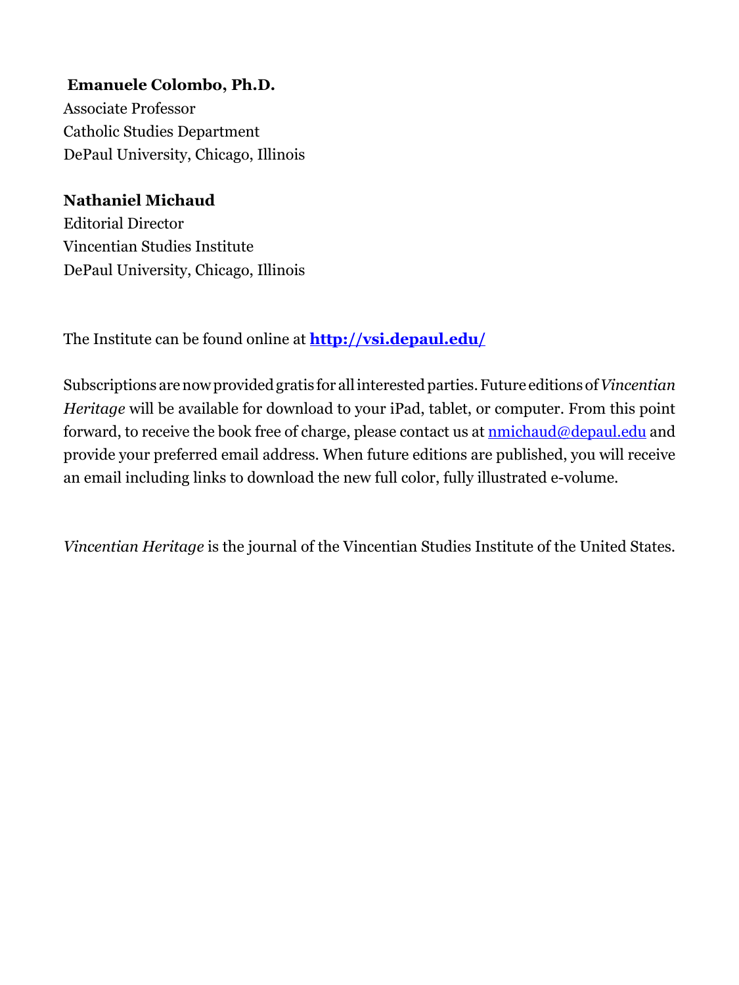**Emanuele Colombo, Ph.D.** Associate Professor Catholic Studies Department DePaul University, Chicago, Illinois

### **Nathaniel Michaud**

Editorial Director Vincentian Studies Institute DePaul University, Chicago, Illinois

The Institute can be found online at **<http://vsi.depaul.edu/>**

Subscriptions are now provided gratis for all interested parties. Future editions of *Vincentian Heritage* will be available for download to your iPad, tablet, or computer. From this point forward, to receive the book free of charge, please contact us at **nmichaud@depaul.edu** and provide your preferred email address. When future editions are published, you will receive an email including links to download the new full color, fully illustrated e-volume.

*Vincentian Heritage* is the journal of the Vincentian Studies Institute of the United States.